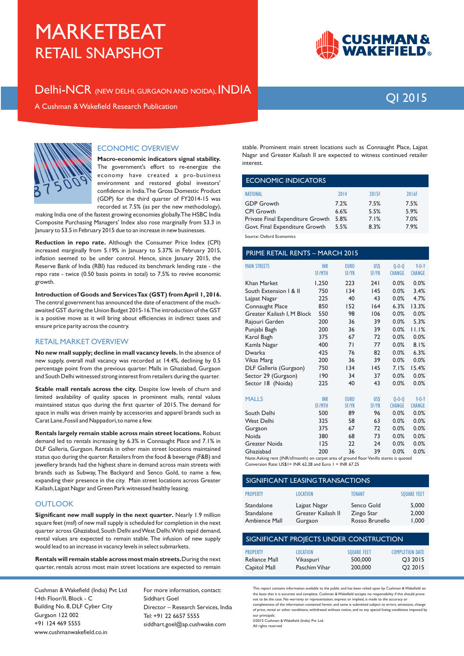Delhi-NCR (NEW DELHI, GURGAON AND NOIDA), INDIA

## **QI 2015**

**CUSHMAN &<br>WAKEFIELD。** 

A Cushman & Wakefield Research Publication



#### **ECONOMIC OVERVIEW**

Macro-economic indicators signal stability. The government's effort to re-energize the economy have created a pro-business environment and restored global investors' confidence in India. The Gross Domestic Product (GDP) for the third quarter of FY2014-15 was recorded at 7.5% (as per the new methodology),

making India one of the fastest growing economies globally. The HSBC India Composite Purchasing Managers' Index also rose marginally from 53.3 in January to 53.5 in February 2015 due to an increase in new businesses.

Reduction in repo rate. Although the Consumer Price Index (CPI) increased marginally from 5.19% in January to 5.37% in February 2015, inflation seemed to be under control. Hence, since January 2015, the Reserve Bank of India (RBI) has reduced its benchmark lending rate - the repo rate - twice (0.50 basis points in total) to 7.5% to revive economic growth.

Introduction of Goods and Services Tax (GST) from April 1, 2016. The central government has announced the date of enactment of the muchawaited GST during the Union Budget 2015-16. The introduction of the GST is a positive move as it will bring about efficiencies in indirect taxes and ensure price parity across the country.

#### **RETAIL MARKET OVERVIEW**

No new mall supply; decline in mall vacancy levels. In the absence of new supply, overall mall vacancy was recorded at 14.4%, declining by 0.5 percentage point from the previous quarter. Malls in Ghaziabad, Gurgaon and South Delhi witnessed strong interest from retailers during the quarter.

Stable mall rentals across the city. Despite low levels of churn and limited availability of quality spaces in prominent malls, rental values maintained status quo during the first quarter of 2015. The demand for space in malls was driven mainly by accessories and apparel brands such as Carat Lane, Fossil and Nappadori, to name a few.

Rentals largely remain stable across main street locations. Robust demand led to rentals increasing by 6.3% in Connaught Place and 7.1% in DLF Galleria, Gurgaon. Rentals in other main street locations maintained status quo during the quarter. Retailers from the food & beverage (F&B) and jewellery brands had the highest share in demand across main streets with brands such as Subway, The Backyard and Senco Gold, to name a few, expanding their presence in the city. Main street locations across Greater Kailash, Lajpat Nagar and Green Park witnessed healthy leasing.

#### **OUTLOOK**

Significant new mall supply in the next quarter. Nearly 1.9 million square feet (msf) of new mall supply is scheduled for completion in the next quarter across Ghaziabad, South Delhi and West Delhi. With tepid demand, rental values are expected to remain stable. The infusion of new supply would lead to an increase in vacancy levels in select submarkets.

Rentals will remain stable across most main streets. During the next quarter, rentals across most main street locations are expected to remain

Cushman & Wakefield (India) Pvt Ltd 14th Floor/II, Block - C Building No. 8, DLF Cyber City Gurgaon 122 002 +91 124 469 5555 www.cushmanwakefield.co.in

For more information, contact: Siddhart Goel Director - Research Services, India Tel: +91 22 6657 5555 siddhart.goel@ap.cushwake.com

stable. Prominent main street locations such as Connaught Place, Lajpat Nagar and Greater Kailash II are expected to witness continued retailer interest.

| <b>ECONOMIC INDICATORS</b>       |      |       |       |  |
|----------------------------------|------|-------|-------|--|
| <b>NATIONAL</b>                  | 2014 | 2015F | 2016F |  |
| <b>GDP Growth</b>                | 7.2% | 7.5%  | 7.5%  |  |
| <b>CPI</b> Growth                | 6.6% | 5.5%  | 5.9%  |  |
| Private Final Expenditure Growth | 5.8% | 7.1%  | 7.0%  |  |
| Govt. Final Expenditure Growth   | 5.5% | 8.3%  | 7.9%  |  |
|                                  |      |       |       |  |

ce: Oxford Economics

| PRIME RETAIL RENTS - MARCH 2015                     |                             |                             |               |                              |                          |
|-----------------------------------------------------|-----------------------------|-----------------------------|---------------|------------------------------|--------------------------|
| <b>MAIN STREETS</b>                                 | <b>INR</b><br><b>SF/MTH</b> | <b>EURO</b><br><b>SF/YR</b> | US\$<br>SF/YR | $0 - 0 - 0$<br><b>CHANGE</b> | $Y-0-Y$<br><b>CHANGE</b> |
| <b>Khan Market</b>                                  | 1,250                       | 223                         | 241           | 0.0%                         | 0.0%                     |
| South Extension   & II                              | 750                         | 134                         | 145           | 0.0%                         | 3.4%                     |
| Lajpat Nagar                                        | 225                         | 40                          | 43            | 0.0%                         | 4.7%                     |
| Connaught Place                                     | 850                         | 152                         | 164           | 6.3%                         | 13.3%                    |
| Greater Kailash I, M Block                          | 550                         | 98                          | 106           | 0.0%                         | 0.0%                     |
| Rajouri Garden                                      | 200                         | 36                          | 39            | 0.0%                         | 5.3%                     |
| Punjabi Bagh                                        | 200                         | 36                          | 39            | 0.0%                         | 11.1%                    |
| Karol Bagh                                          | 375                         | 67                          | 72            | 0.0%                         | 0.0%                     |
| Kamla Nagar                                         | 400                         | 71                          | 77            | 0.0%                         | 8.1%                     |
| <b>Dwarka</b>                                       | 425                         | 76                          | 82            | 0.0%                         | 6.3%                     |
| Vikas Marg                                          | 200                         | 36                          | 39            | 0.0%                         | 0.0%                     |
| DLF Galleria (Gurgaon)                              | 750                         | 134                         | 145           | 7.1%                         | 15.4%                    |
| Sector 29 (Gurgaon)                                 | 190                         | 34                          | 37            | 0.0%                         | 0.0%                     |
| Sector 18 (Noida)                                   | 225                         | 40                          | 43            | 0.0%                         | 0.0%                     |
| <b>MALLS</b>                                        | <b>INR</b>                  | <b>EURO</b>                 | US\$          | $0 - 0 - 0$                  | $Y-0-Y$                  |
|                                                     | <b>SF/MTH</b>               | <b>SF/YR</b>                | <b>SF/YR</b>  | <b>CHANGE</b>                | <b>CHANGE</b>            |
| South Delhi                                         | 500                         | 89                          | 96            | 0.0%                         | 0.0%                     |
| <b>West Delhi</b>                                   | 325                         | 58                          | 63            | 0.0%                         | 0.0%                     |
| Gurgaon                                             | 375                         | 67                          | 72            | 0.0%                         | 0.0%                     |
| Noida                                               | 380                         | 68                          | 73            | 0.0%                         | 0.0%                     |
| Greater Noida                                       | 125                         | 22                          | 24            | 0.0%                         | 0.0%                     |
| Ghaziabad<br>$\cdots$ (IN ID <i>LCL</i> )<br>$-1.3$ | 200                         | 36<br>$\pm$ 0.              | 39            | 0.0%                         | 0.0%<br>$\mathbf{I}$     |

Note: Asking rent (INR/sf/month) on carpet area of ground floor Vanilla stores is quoted<br>Conversion Rate: US\$1= INR 62.28 and Euro 1 = INR 67.25

| SIGNIFICANT LEASING TRANSACTIONS          |                                               |                                            |                         |  |  |
|-------------------------------------------|-----------------------------------------------|--------------------------------------------|-------------------------|--|--|
| <b>PROPERTY</b>                           | <b>LOCATION</b>                               | <b>TFNANT</b>                              | <b>SOUARE FEET</b>      |  |  |
| Standalone<br>Standalone<br>Ambience Mall | Lajpat Nagar<br>Greater Kailash II<br>Gurgaon | Senco Gold<br>Zingo Star<br>Rosso Brunello | 5.000<br>2,000<br>1,000 |  |  |
| SIGNIFICANT PROJECTS UNDER CONSTRUCTION   |                                               |                                            |                         |  |  |

| <b>PROPERTY</b> | <b>LOCATION</b> | <b>SOUARE FEET</b> | <b>COMPLETION DATE</b> |
|-----------------|-----------------|--------------------|------------------------|
| Reliance Mall   | Vikaspuri       | 500,000            | O3 2015                |
| Capitol Mall    | Paschim Vihar   | 200,000            | O <sub>2</sub> 2015    |

This report contains information available to the public and has been relied upon by Cushman & Wakefield on the basis that it is accurate and complete. Cushman & Wakefield accepts no responsibility if this should prove not to be the case. No warranty or representation, express or implied, is made to the accuracy or completeness of the information contained berein and same is submitted subject to errors omissions change of price, rental or other conditions, withdrawal without notice, and to any special listing conditions imposed by our principals.

©2015 Cushman & Wakefield (India) Pvt. Ltd. All rights reserved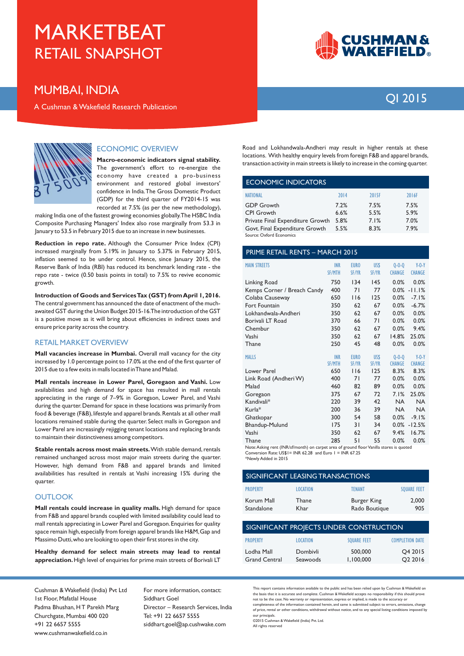### **MUMBAI. INDIA**

A Cushman & Wakefield Research Publication



#### **ECONOMIC OVERVIEW**

Macro-economic indicators signal stability. The government's effort to re-energize the economy have created a pro-business environment and restored global investors' confidence in India. The Gross Domestic Product (GDP) for the third quarter of FY2014-15 was recorded at 7.5% (as per the new methodology),

making India one of the fastest growing economies globally. The HSBC India Composite Purchasing Managers' Index also rose marginally from 53.3 in January to 53.5 in February 2015 due to an increase in new businesses.

Reduction in repo rate. Although the Consumer Price Index (CPI) increased marginally from 5.19% in January to 5.37% in February 2015, inflation seemed to be under control. Hence, since January 2015, the Reserve Bank of India (RBI) has reduced its benchmark lending rate - the repo rate - twice (0.50 basis points in total) to 7.5% to revive economic growth.

Introduction of Goods and Services Tax (GST) from April 1.2016. The central government has announced the date of enactment of the muchawaited GST during the Union Budget 2015-16. The introduction of the GST is a positive move as it will bring about efficiencies in indirect taxes and ensure price parity across the country.

#### **RETAIL MARKET OVERVIEW**

Mall vacancies increase in Mumbai. Overall mall vacancy for the city increased by 1.0 percentage point to 17.0% at the end of the first quarter of 2015 due to a few exits in malls located in Thane and Malad.

Mall rentals increase in Lower Parel, Goregaon and Vashi. Low availabilities and high demand for space has resulted in mall rentals appreciating in the range of 7-9% in Goregaon, Lower Parel, and Vashi during the quarter. Demand for space in these locations was primarily from food & beverage (F&B), lifestyle and apparel brands. Rentals at all other mall locations remained stable during the quarter. Select malls in Goregaon and Lower Parel are increasingly rejigging tenant locations and replacing brands to maintain their distinctiveness among competitors.

Stable rentals across most main streets. With stable demand, rentals remained unchanged across most major main streets during the quarter. However, high demand from F&B and apparel brands and limited availabilities has resulted in rentals at Vashi increasing 15% during the quarter

#### **OUTLOOK**

Mall rentals could increase in quality malls. High demand for space from F&B and apparel brands coupled with limited availability could lead to mall rentals appreciating in Lower Parel and Goregaon. Enquiries for quality space remain high, especially from foreign apparel brands like H&M, Gap and Massimo Dutti, who are looking to open their first stores in the city.

Healthy demand for select main streets may lead to rental appreciation. High level of enquiries for prime main streets of Borivali LT

Cushman & Wakefield (India) Pvt Ltd Ist Floor, Mafatlal House Padma Bhushan, HT Parekh Marg Churchgate, Mumbai 400 020 +91 22 6657 5555 www.cushmanwakefield.co.in

For more information, contact: Siddhart Goel Director - Research Services, India Tel: +91 22 6657 5555 siddhart.goel@ap.cushwake.com



## OI 2015

Road and Lokhandwala-Andheri may result in higher rentals at these locations. With healthy enquiry levels from foreign F&B and apparel brands, transaction activity in main streets is likely to increase in the coming quarter.

#### **ECONOMIC INDICATORS**

| <b>NATIONAL</b>                    | 2014 | 2015F | 2016F |
|------------------------------------|------|-------|-------|
| <b>GDP Growth</b>                  | 7.2% | 7.5%  | 7.5%  |
| <b>CPI Growth</b>                  | 6.6% | 5.5%  | 5.9%  |
| Private Final Expenditure Growth   | 5.8% | 7.1%  | 7.0%  |
| Govt. Final Expenditure Growth     | 5.5% | 8.3%  | 7.9%  |
| $\sim$ $\sim$ $\sim$ $\sim$ $\sim$ |      |       |       |

#### PRIME RETAIL RENTS - MARCH 2015

| <b>MAIN STREETS</b>         | <b>INR</b><br><b>SF/MTH</b> | <b>EURO</b><br>SF/YR | US\$<br><b>SF/YR</b> | $0 - 0 - 0$<br><b>CHANGE</b> | $Y-0-Y$<br><b>CHANGE</b> |
|-----------------------------|-----------------------------|----------------------|----------------------|------------------------------|--------------------------|
| Linking Road                | 750                         | 134                  | 145                  | 0.0%                         | 0.0%                     |
| Kemps Corner / Breach Candy | 400                         | 71                   | 77                   |                              | $0.0\% -11.1\%$          |
| Colaba Causeway             | 650                         | 116                  | 125                  | 0.0%                         | $-7.1%$                  |
| Fort Fountain               | 350                         | 62                   | 67                   | 0.0%                         | $-6.7%$                  |
| Lokhandwala-Andheri         | 350                         | 62                   | 67                   | 0.0%                         | 0.0%                     |
| Borivali LT Road            | 370                         | 66                   | 71                   | 0.0%                         | 0.0%                     |
| Chembur                     | 350                         | 62                   | 67                   | 0.0%                         | 9.4%                     |
| Vashi                       | 350                         | 62                   | 67                   | 14.8%                        | 25.0%                    |
| Thane                       | 250                         | 45                   | 48                   | 0.0%                         | 0.0%                     |
| <b>MALLS</b>                | <b>INR</b>                  | <b>EURO</b>          | <b>USS</b>           | $0 - 0 - 0$                  | $Y-0-Y$                  |
|                             | <b>SF/MTH</b>               | <b>SF/YR</b>         | <b>SF/YR</b>         | <b>CHANGE</b>                | <b>CHANGE</b>            |
| Lower Parel                 | 650                         | 116                  | 125                  | 8.3%                         | 8.3%                     |
| Link Road (Andheri W)       | 400                         | 71                   | 77                   | 0.0%                         | 0.0%                     |
| Malad                       | 460                         | 82                   | 89                   | 0.0%                         | 0.0%                     |
| Goregaon                    | 375                         | 67                   | 72                   | 7.1%                         | 25.0%                    |
| Kandivali*                  | 220                         | 39                   | 42                   | <b>NA</b>                    | <b>NA</b>                |
| Kurla*                      | 200                         | 36                   | 39                   | <b>NA</b>                    | <b>NA</b>                |
| Ghatkopar                   | 300                         | 54                   | 58                   | 0.0%                         | $-9.1%$                  |
| Bhandup-Mulund              | 175                         | 31                   | 34                   |                              | $0.0\% - 12.5\%$         |
| Vashi                       | 350                         | 62                   | 67                   | 9.4%                         | 16.7%                    |
| Thane                       | 285                         | 51                   | 55                   | 0 በ%                         | <u>በ በ% </u>             |

Note: Asking rent (INR/sf/month) on carpet area of ground floor Vanilla stores is quoted Conversion Rate: US\$1= INR 62.28 and Euro 1 = INR 67.25

\*Newly Added in 2015

| SIGNIFICANT LEASING TRANSACTIONS |                 |                                     |                    |  |
|----------------------------------|-----------------|-------------------------------------|--------------------|--|
| <b>PROPERTY</b>                  | <b>LOCATION</b> | <b>TENANT</b>                       | <b>SOUARE FEET</b> |  |
| Korum Mall<br>Standalone         | Thane<br>Khar   | <b>Burger King</b><br>Rado Boutique | 2.000<br>905       |  |

| SIGNIFICANT PROJECTS UNDER CONSTRUCTION |                      |                      |                                            |  |  |
|-----------------------------------------|----------------------|----------------------|--------------------------------------------|--|--|
| <b>PROPERTY</b>                         | <b>LOCATION</b>      | <b>SOUARE FEET</b>   | <b>COMPLETION DATE</b>                     |  |  |
| Lodha Mall<br><b>Grand Central</b>      | Dombivli<br>Seawoods | 500,000<br>1.100.000 | O <sub>4</sub> 2015<br>O <sub>2</sub> 2016 |  |  |

.<br>This report contains information available to the public and has been relied upon by Cushman & Wakefield on the basis that it is accurate and complete. Cushman & Wakefield accepts no responsibility if this should prove not to be the case. No warranty or representation, express or implied, is made to the accuracy or completeness of the information contained berein and same is submitted subject to errors omissions change of price, rental or other conditions, withdrawal without notice, and to any special listing conditions imposed by our principals.

0ar procepsor.<br>©2015 Cushman & Wakefield (India) Pvt. Ltd. All rights reserved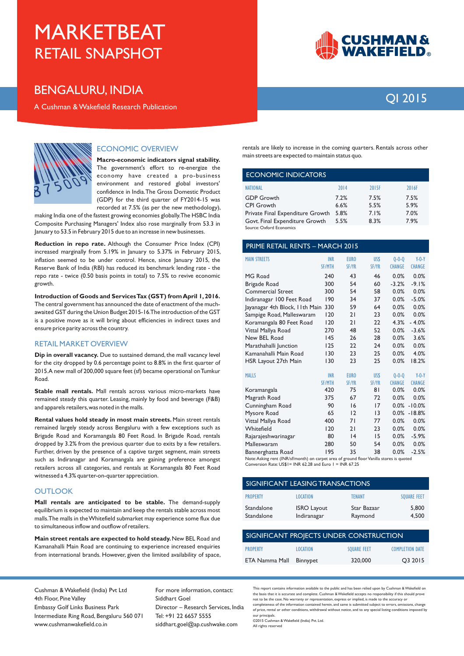### **BENGALURU, INDIA**

A Cushman & Wakefield Research Publication



#### **ECONOMIC OVERVIEW**

Macro-economic indicators signal stability. The government's effort to re-energize the economy have created a pro-business environment and restored global investors' confidence in India. The Gross Domestic Product (GDP) for the third quarter of FY2014-15 was recorded at 7.5% (as per the new methodology),

making India one of the fastest growing economies globally. The HSBC India Composite Purchasing Managers' Index also rose marginally from 53.3 in January to 53.5 in February 2015 due to an increase in new businesses.

Reduction in repo rate. Although the Consumer Price Index (CPI) increased marginally from 5.19% in January to 5.37% in February 2015, inflation seemed to be under control. Hence, since January 2015, the Reserve Bank of India (RBI) has reduced its benchmark lending rate - the repo rate - twice (0.50 basis points in total) to 7.5% to revive economic growth.

Introduction of Goods and Services Tax (GST) from April 1, 2016. The central government has announced the date of enactment of the muchawaited GST during the Union Budget 2015-16. The introduction of the GST is a positive move as it will bring about efficiencies in indirect taxes and ensure price parity across the country.

#### **RETAIL MARKET OVERVIEW**

Dip in overall vacancy. Due to sustained demand, the mall vacancy level for the city dropped by 0.6 percentage point to 8.8% in the first quarter of 2015.A new mall of 200,000 square feet (sf) became operational on Tumkur Road

Stable mall rentals. Mall rentals across various micro-markets have remained steady this quarter. Leasing, mainly by food and beverage (F&B) and apparels retailers, was noted in the malls.

Rental values hold steady in most main streets. Main street rentals remained largely steady across Bengaluru with a few exceptions such as Brigade Road and Koramangala 80 Feet Road. In Brigade Road, rentals dropped by 3.2% from the previous quarter due to exits by a few retailers. Further, driven by the presence of a captive target segment, main streets such as Indiranagar and Koramangala are gaining preference amongst retailers across all categories, and rentals at Koramangala 80 Feet Road witnessed a 4.3% quarter-on-quarter appreciation.

#### **OUTLOOK**

Mall rentals are anticipated to be stable. The demand-supply equilibrium is expected to maintain and keep the rentals stable across most malls. The malls in the Whitefield submarket may experience some flux due to simultaneous inflow and outflow of retailers.

Main street rentals are expected to hold steady. New BEL Road and Kamanahalli Main Road are continuing to experience increased enquiries from international brands. However, given the limited availability of space,

rentals are likely to increase in the coming quarters. Rentals across other main streets are expected to maintain status quo.

#### **ECONOMIC INDICATORS**

| <b>NATIONAL</b>                  | 2014 | 2015F | 2016F |
|----------------------------------|------|-------|-------|
| <b>GDP</b> Growth                | 7.2% | 7.5%  | 7.5%  |
| <b>CPI Growth</b>                | 6.6% | 5.5%  | 5.9%  |
| Private Final Expenditure Growth | 5.8% | 7.1%  | 7.0%  |
| Govt. Final Expenditure Growth   | 5.5% | 8.3%  | 7.9%  |
| Source: Oxford Economics         |      |       |       |

#### PRIME RETAIL RENTS - MARCH 2015

| <b>MAIN STREETS</b>             | <b>INR</b>    | <b>EURO</b>  | US\$            | $0 - 0 - 0$   | $Y-0-Y$          |  |
|---------------------------------|---------------|--------------|-----------------|---------------|------------------|--|
|                                 | <b>SF/MTH</b> | <b>SF/YR</b> | <b>SF/YR</b>    | <b>CHANGE</b> | <b>CHANGE</b>    |  |
|                                 |               |              |                 |               |                  |  |
| MG Road                         | 240           | 43           | 46              | 0.0%          | 0.0%             |  |
| Brigade Road                    | 300           | 54           | 60              | $-3.2%$       | $-9.1%$          |  |
| <b>Commercial Street</b>        | 300           | 54           | 58              | 0.0%          | 0.0%             |  |
| Indiranagar 100 Feet Road       | 190           | 34           | 37              | 0.0%          | $-5.0%$          |  |
| Jayanagar 4th Block, I Ith Main | 330           | 59           | 64              | 0.0%          | 0.0%             |  |
| Sampige Road, Malleswaram       | 120           | 21           | 23              | 0.0%          | 0.0%             |  |
| Koramangala 80 Feet Road        | 120           | 21           | 22              | 4.3%          | $-4.0%$          |  |
| Vittal Mallya Road              | 270           | 48           | 52              | 0.0%          | $-3.6%$          |  |
| New BEL Road                    | 145           | 26           | 28              | 0.0%          | 3.6%             |  |
| Marathahalli Junction           | 125           | 22           | 24              | 0.0%          | 0.0%             |  |
| Kamanahalli Main Road           | 130           | 23           | 25              | 0.0%          | 4.0%             |  |
| HSR Layout 27th Main            | 130           | 23           | 25              | 0.0%          | 18.2%            |  |
| <b>MALLS</b>                    | <b>INR</b>    | <b>EURO</b>  | US\$            | $0 - 0 - 0$   | $Y-0-Y$          |  |
|                                 | <b>SF/MTH</b> | <b>SF/YR</b> | <b>SF/YR</b>    | <b>CHANGE</b> | <b>CHANGE</b>    |  |
| Koramangala                     | 420           | 75           | 81              | 0.0%          | 0.0%             |  |
| Magrath Road                    | 375           | 67           | 72              | 0.0%          | 0.0%             |  |
| Cunningham Road                 | 90            | 16           | 17              |               | $0.0\% - 10.0\%$ |  |
| Mysore Road                     | 65            | 12           | $\overline{13}$ | 0.0%          | $-18.8%$         |  |
| Vittal Mallya Road              | 400           | 71           | 77              | 0.0%          | 0.0%             |  |
| Whitefield                      | 120           | 21           | 23              | 0.0%          | 0.0%             |  |
| Rajarajeshwarinagar             | 80            | 4            | 15              | 0.0%          | $-5.9%$          |  |
| Malleswaram                     | 280           | 50           | 54              | 0.0%          | 0.0%             |  |
| Bannerghatta Road               | 195           | 35           | 38              | 0.0%          | $-2.5%$          |  |

Note:Asking rent (INR/sf/month) on carpet area of ground floor Vanilla stores is quoted Conversion Rate: US\$1= INR 62.28 and Euro 1 = INR 67.25

| SIGNIFICANT LEASING TRANSACTIONS |                                   |                        |                    |  |  |
|----------------------------------|-----------------------------------|------------------------|--------------------|--|--|
| <b>PROPERTY</b>                  | <b>LOCATION</b>                   | <b>TENANT</b>          | <b>SOUARE FEET</b> |  |  |
| Standalone<br>Standalone         | <b>ISRO Layout</b><br>Indiranagar | Star Bazaar<br>Raymond | 5,800<br>4.500     |  |  |

| SIGNIFICANT PROJECTS UNDER CONSTRUCTION |                 |                    |                        |  |  |
|-----------------------------------------|-----------------|--------------------|------------------------|--|--|
| <b>PROPERTY</b>                         | <b>LOCATION</b> | <b>SOUARE FEET</b> | <b>COMPLETION DATE</b> |  |  |
| ETA Namma Mall                          | Binnypet        | 320,000            | O3 2015                |  |  |

Cushman & Wakefield (India) Pvt Ltd 4th Floor, Pine Valley Embassy Golf Links Business Park Intermediate Ring Road, Bengaluru 560 071 www.cushmanwakefield.co.in

For more information, contact: Siddhart Goel Director - Research Services, India Tel: +91 22 6657 5555 siddhart.goel@ap.cushwake.com

This report contains information available to the public and has been relied upon by Cushman & Wakefield on the basis that it is accurate and complete. Cushman & Wakefield accepts no responsibility if this should prove not to be the case. No warranty or representation, express or implied, is made to the accuracy or completeness of the information contained berein and same is submitted subject to errors omissions change of price, rental or other conditions, withdrawal without notice, and to any special listing conditions imposed by our principals.

0ar procepsor.<br>©2015 Cushman & Wakefield (India) Pvt. Ltd. All rights reserved

**CUSHMAN&<br>WAKEFIELD。** 

### OI 2015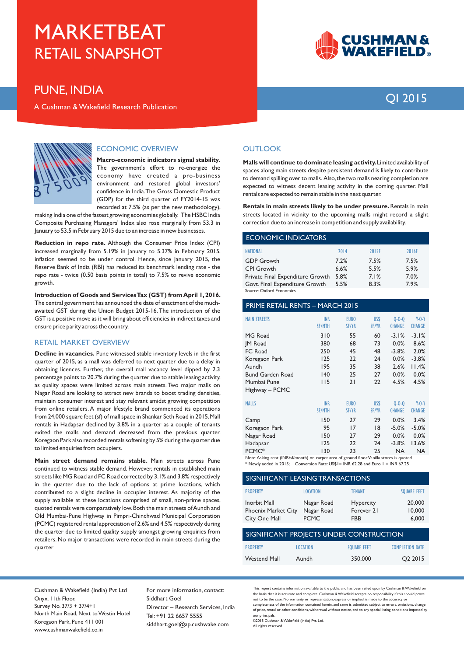### **PUNE, INDIA**

A Cushman & Wakefield Research Publication



#### **ECONOMIC OVERVIEW**

Macro-economic indicators signal stability. The government's effort to re-energize the economy have created a pro-business environment and restored global investors' confidence in India. The Gross Domestic Product (GDP) for the third quarter of FY2014-15 was recorded at 7.5% (as per the new methodology),

making India one of the fastest growing economies globally. The HSBC India Composite Purchasing Managers' Index also rose marginally from 53.3 in January to 53.5 in February 2015 due to an increase in new businesses.

Reduction in repo rate. Although the Consumer Price Index (CPI) increased marginally from 5.19% in January to 5.37% in February 2015, inflation seemed to be under control. Hence, since January 2015, the Reserve Bank of India (RBI) has reduced its benchmark lending rate - the repo rate - twice (0.50 basis points in total) to 7.5% to revive economic growth.

Introduction of Goods and Services Tax (GST) from April 1, 2016. The central government has announced the date of enactment of the muchawaited GST during the Union Budget 2015-16. The introduction of the GST is a positive move as it will bring about efficiencies in indirect taxes and ensure price parity across the country.

#### **RETAIL MARKET OVERVIEW**

Decline in vacancies. Pune witnessed stable inventory levels in the first quarter of 2015, as a mall was deferred to next quarter due to a delay in obtaining licences. Further, the overall mall vacancy level dipped by 2.3 percentage points to 20.7% during the quarter due to stable leasing activity, as quality spaces were limited across main streets. Two major malls on Nagar Road are looking to attract new brands to boost trading densities, maintain consumer interest and stay relevant amidst growing competition from online retailers. A major lifestyle brand commenced its operations from 24,000 square feet (sf) of mall space in Shankar Seth Road in 2015. Mall rentals in Hadapsar declined by 3.8% in a quarter as a couple of tenants exited the malls and demand decreased from the previous quarter. Koregaon Park also recorded rentals softening by 5% during the quarter due to limited enquiries from occupiers.

Main street demand remains stable. Main streets across Pune continued to witness stable demand. However, rentals in established main streets like MG Road and FC Road corrected by 3.1% and 3.8% respectively in the quarter due to the lack of options at prime locations, which contributed to a slight decline in occupier interest. As majority of the supply available at these locations comprised of small, non-prime spaces, quoted rentals were comparatively low. Both the main streets of Aundh and Old Mumbai-Pune Highway in Pimpri-Chinchwad Municipal Corporation (PCMC) registered rental appreciation of 2.6% and 4.5% respectively during the quarter due to limited quality supply amongst growing enquiries from retailers. No major transactions were recorded in main streets during the quarter



## OI 2015

#### **OUTLOOK**

Malls will continue to dominate leasing activity. Limited availability of spaces along main streets despite persistent demand is likely to contribute to demand spilling over to malls. Also, the two malls nearing completion are expected to witness decent leasing activity in the coming quarter. Mall rentals are expected to remain stable in the next quarter.

Rentals in main streets likely to be under pressure. Rentals in main streets located in vicinity to the upcoming malls might record a slight correction due to an increase in competition and supply availability.

| ECONOMIC INDICATORS              |      |       |       |  |  |
|----------------------------------|------|-------|-------|--|--|
| <b>NATIONAL</b>                  | 2014 | 2015F | 2016F |  |  |
| <b>GDP Growth</b>                | 7.2% | 7.5%  | 7.5%  |  |  |
| <b>CPI</b> Growth                | 6.6% | 5.5%  | 5.9%  |  |  |
| Private Final Expenditure Growth | 5.8% | 7.1%  | 7.0%  |  |  |
| Govt. Final Expenditure Growth   | 5.5% | 8.3%  | 7.9%  |  |  |
| Source: Oxford Economics         |      |       |       |  |  |

| <b>PRIME RETAIL RENTS - MARCH 2015</b>                                                   |                             |                             |                            |                              |                          |  |
|------------------------------------------------------------------------------------------|-----------------------------|-----------------------------|----------------------------|------------------------------|--------------------------|--|
| <b>MAIN STREETS</b>                                                                      | <b>INR</b><br><b>SF/MTH</b> | <b>EURO</b><br><b>SF/YR</b> | <b>USS</b><br><b>SF/YR</b> | $0 - 0 - 0$<br><b>CHANGE</b> | $Y-0-Y$<br><b>CHANGE</b> |  |
| MG Road                                                                                  | 310                         | 55                          | 60                         | $-3.1%$                      | $-3.1%$                  |  |
| <b>IM Road</b>                                                                           | 380                         | 68                          | 73                         | 0.0%                         | 8.6%                     |  |
| FC Road                                                                                  | 250                         | 45                          | 48                         | $-3.8%$                      | 2.0%                     |  |
| Koregaon Park                                                                            | 125                         | 22                          | 24                         | 0.0%                         | $-3.8%$                  |  |
| Aundh                                                                                    | 195                         | 35                          | 38                         | 2.6%                         | 11.4%                    |  |
| <b>Bund Garden Road</b>                                                                  | 140                         | 25                          | 27                         | 0.0%                         | 0.0%                     |  |
| Mumbai Pune                                                                              | l I 5                       | 21                          | 22                         | 4.5%                         | 4.5%                     |  |
| Highway – PCMC                                                                           |                             |                             |                            |                              |                          |  |
| <b>MALLS</b>                                                                             | <b>INR</b>                  | <b>EURO</b>                 | <b>USS</b>                 | $0 - 0 - 0$                  | $Y-0-Y$                  |  |
|                                                                                          | <b>SF/MTH</b>               | <b>SF/YR</b>                | <b>SF/YR</b>               | <b>CHANGE</b>                | <b>CHANGE</b>            |  |
| Camp                                                                                     | 150                         | 27                          | 29                         | 0.0%                         | 3.4%                     |  |
| Koregaon Park                                                                            | 95                          | 17                          | 18                         | $-5.0%$                      | $-5.0%$                  |  |
| Nagar Road                                                                               | 150                         | 27                          | 29                         | 0.0%                         | 0.0%                     |  |
| Hadapsar                                                                                 | 125                         | 22                          | 24                         | $-3.8%$                      | 13.6%                    |  |
| PCMC*                                                                                    | 130                         | 23                          | 25                         | <b>NA</b>                    | <b>NA</b>                |  |
| Note: Asking rent (INR/sf/month) on carpet area of ground floor Vanilla stores is quoted |                             |                             |                            |                              |                          |  |

\* Newly added in 2015; Conversion Rate: US\$1= INR 62.28 and Euro 1 = INR 67.25

| SIGNIFICANT LEASING TRANSACTIONS                            |                                         |                                              |                           |  |  |  |
|-------------------------------------------------------------|-----------------------------------------|----------------------------------------------|---------------------------|--|--|--|
| <b>PROPERTY</b>                                             | <b>LOCATION</b>                         | TENANT                                       | <b>SOUARE FEET</b>        |  |  |  |
| Inorbit Mall<br><b>Phoenix Market City</b><br>City One Mall | Nagar Road<br>Nagar Road<br><b>PCMC</b> | <b>Hypercity</b><br>Forever 21<br><b>FBB</b> | 20,000<br>10,000<br>6,000 |  |  |  |
| SIGNIFICANT PROJECTS UNDER CONSTRUCTION                     |                                         |                                              |                           |  |  |  |
| <b>PROPERTY</b>                                             | <b>LOCATION</b>                         | <b>SOUARE FEET</b>                           | <b>COMPLETION DATE</b>    |  |  |  |
| <b>Westend Mall</b>                                         | Aundh                                   | 350,000                                      | O <sub>2</sub> 2015       |  |  |  |

Cushman & Wakefield (India) Pvt Ltd Onvx. I Ith Floor. Survey No. 37/3 + 37/4+1 North Main Road, Next to Westin Hotel Koregaon Park. Pune 411 001 www.cushmanwakefield.co.in

For more information, contact: Siddhart Goel Director - Research Services, India Tel: +91 22 6657 5555 siddhart.goel@ap.cushwake.com

.<br>This report contains information available to the public and has been relied upon by Cushman & Wakefield on the basis that it is accurate and complete. Cushman & Wakefield accepts no responsibility if this should prove not to be the case. No warranty or representation, express or implied, is made to the accuracy or completeness of the information contained berein and same is submitted subject to errors omissions change of price, rental or other conditions, withdrawal without notice, and to any special listing conditions imposed by our principals.

02015 Cushman & Wakefield (India) Pvt. Ltd.

All rights reserved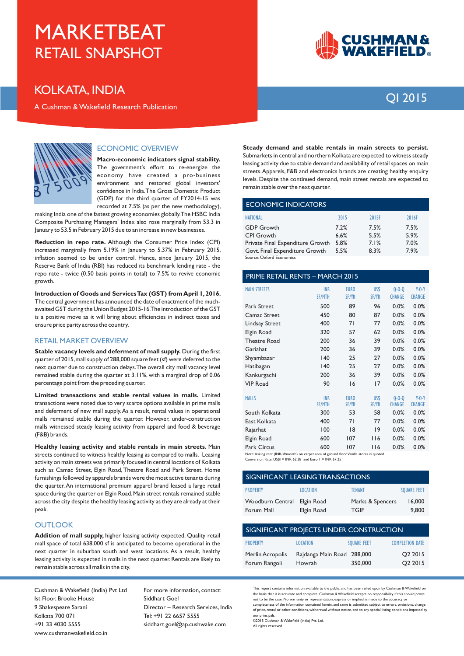### **KOLKATA, INDIA**

A Cushman & Wakefield Research Publication



## **OI 2015**



#### **ECONOMIC OVERVIEW**

Macro-economic indicators signal stability. The government's effort to re-energize the economy have created a pro-business environment and restored global investors' confidence in India. The Gross Domestic Product (GDP) for the third quarter of FY2014-15 was recorded at 7.5% (as per the new methodology),

making India one of the fastest growing economies globally. The HSBC India Composite Purchasing Managers' Index also rose marginally from 53.3 in January to 53.5 in February 2015 due to an increase in new businesses.

Reduction in repo rate. Although the Consumer Price Index (CPI) increased marginally from 5.19% in January to 5.37% in February 2015, inflation seemed to be under control. Hence, since January 2015, the Reserve Bank of India (RBI) has reduced its benchmark lending rate - the repo rate - twice (0.50 basis points in total) to 7.5% to revive economic growth.

Introduction of Goods and Services Tax (GST) from April 1, 2016. The central government has announced the date of enactment of the muchawaited GST during the Union Budget 2015-16. The introduction of the GST is a positive move as it will bring about efficiencies in indirect taxes and ensure price parity across the country.

#### **RETAIL MARKET OVERVIEW**

Stable vacancy levels and deferment of mall supply. During the first quarter of 2015, mall supply of 288,000 square feet (sf) were deferred to the next quarter due to construction delays. The overall city mall vacancy level remained stable during the quarter at 3.11%, with a marginal drop of 0.06 percentage point from the preceding quarter.

Limited transactions and stable rental values in malls. Limited transactions were noted due to very scarce options available in prime malls and deferment of new mall supply. As a result, rental values in operational malls remained stable during the quarter. However, under-construction malls witnessed steady leasing activity from apparel and food & beverage (F&B) brands.

Healthy leasing activity and stable rentals in main streets. Main streets continued to witness healthy leasing as compared to malls. Leasing activity on main streets was primarily focused in central locations of Kolkata such as Camac Street, Elgin Road, Theatre Road and Park Street. Home furnishings followed by apparels brands were the most active tenants during the quarter. An international premium apparel brand leased a large retail space during the quarter on Elgin Road. Main street rentals remained stable across the city despite the healthy leasing activity as they are already at their peak.

#### **OUTLOOK**

Addition of mall supply, higher leasing activity expected. Quality retail mall space of total 638,000 sf is anticipated to become operational in the next quarter in suburban south and west locations. As a result, healthy leasing activity is expected in malls in the next quarter. Rentals are likely to remain stable across all malls in the city.

Cushman & Wakefield (India) Pvt Ltd Ist Floor, Brooke House 9 Shakespeare Sarani **Kolkata 700 071**  $+913340305555$ www.cushmanwakefield.co.in

For more information, contact: Siddhart Goel Director - Research Services, India Tel: +91 22 6657 5555 siddhart.goel@ap.cushwake.com

Steady demand and stable rentals in main streets to persist. Submarkets in central and northern Kolkata are expected to witness steady leasing activity due to stable demand and availability of retail spaces on main streets. Apparels, F&B and electronics brands are creating healthy enquiry levels. Despite the continued demand, main street rentals are expected to remain stable over the next quarter.

| ECONOMIC INDICATORS              |      |       |       |  |  |
|----------------------------------|------|-------|-------|--|--|
| NATIONAL                         | 2015 | 2015F | 2016F |  |  |
| <b>GDP</b> Growth                | 7.2% | 7.5%  | 7.5%  |  |  |
| <b>CPI Growth</b>                | 6.6% | 5.5%  | 5.9%  |  |  |
| Private Final Expenditure Growth | 5.8% | 7.1%  | 7.0%  |  |  |
| Govt. Final Expenditure Growth   | 5.5% | 8.3%  | 7.9%  |  |  |
| Company Ordered Factorships      |      |       |       |  |  |

| <b>PRIME RETAIL RENTS - MARCH 2015</b> |               |              |              |               |               |  |
|----------------------------------------|---------------|--------------|--------------|---------------|---------------|--|
| <b>MAIN STREETS</b>                    | <b>INR</b>    | <b>EURO</b>  | US\$         | $0 - 0 - 0$   | $Y-0-Y$       |  |
|                                        | <b>SF/MTH</b> | <b>SF/YR</b> | <b>SF/YR</b> | <b>CHANGE</b> | <b>CHANGE</b> |  |
| Park Street                            | 500           | 89           | 96           | 0.0%          | 0.0%          |  |
| Camac Street                           | 450           | 80           | 87           | 0.0%          | 0.0%          |  |
| <b>Lindsay Street</b>                  | 400           | 71           | 77           | 0.0%          | 0.0%          |  |
| Elgin Road                             | 320           | 57           | 62           | 0.0%          | 0.0%          |  |
| <b>Theatre Road</b>                    | 200           | 36           | 39           | 0.0%          | 0.0%          |  |
| Gariahat                               | 200           | 36           | 39           | 0.0%          | 0.0%          |  |
| Shyambazar                             | 140           | 25           | 27           | 0.0%          | 0.0%          |  |
| Hatibagan                              | 140           | 25           | 27           | 0.0%          | 0.0%          |  |
| Kankurgachi                            | 200           | 36           | 39           | 0.0%          | 0.0%          |  |
| <b>VIP Road</b>                        | 90            | 16           | 17           | 0.0%          | 0.0%          |  |
| <b>MALLS</b>                           | <b>INR</b>    | <b>EURO</b>  | US\$         | $0 - 0 - 0$   | $Y-0-Y$       |  |
|                                        | <b>SF/MTH</b> | <b>SF/YR</b> | <b>SF/YR</b> | <b>CHANGE</b> | <b>CHANGE</b> |  |
| South Kolkata                          | 300           | 53           | 58           | 0.0%          | 0.0%          |  |
| East Kolkata                           | 400           | 71           | 77           | 0.0%          | 0.0%          |  |
| Rajarhat                               | 100           | 8            | 19           | 0.0%          | 0.0%          |  |
| Elgin Road                             | 600           | 107          | 116          | 0.0%          | 0.0%          |  |
| <b>Park Circus</b>                     | 600           | 107          | 116          | 0.0%          | 0.0%          |  |

Note: Asking rent (INR/sf/month) on carnet area of ground floor Vanilla stores is quoted

Conversion Rate: US\$1= INR  $62.28$  and Euro 1 = INR  $67.25$ 

| SIGNIFICANT LEASING TRANSACTIONS      |                          |                                 |                    |  |  |  |
|---------------------------------------|--------------------------|---------------------------------|--------------------|--|--|--|
| <b>PROPERTY</b>                       | <b>LOCATION</b>          | <b>TFNANT</b>                   | <b>SOUARE FEET</b> |  |  |  |
| <b>Woodburn Central</b><br>Forum Mall | Elgin Road<br>Elgin Road | Marks & Spencers<br><b>TGIF</b> | 16,000<br>9,800    |  |  |  |

| SIGNIFICANT PROJECTS UNDER CONSTRUCTION |                                      |                    |                                            |  |  |  |
|-----------------------------------------|--------------------------------------|--------------------|--------------------------------------------|--|--|--|
| <b>PROPERTY</b>                         | <b>LOCATION</b>                      | <b>SOUARE FEET</b> | <b>COMPLETION DATE</b>                     |  |  |  |
| Merlin Acropolis<br>Forum Rangoli       | Rajdanga Main Road 288,000<br>Howrah | 350,000            | O <sub>2</sub> 2015<br>O <sub>2</sub> 2015 |  |  |  |

This report contains information available to the public and has been relied upon by Cushman & Wakefield on the basis that it is accurate and complete. Cushman & Wakefield accepts no responsibility if this should prove not to be the case. No warranty or representation, express or implied, is made to the accuracy or completeness of the information contained berein and same is submitted subject to errors omissions change of price, rental or other conditions, withdrawal without notice, and to any special listing conditions imposed by our principals.

0ar procepsor.<br>©2015 Cushman & Wakefield (India) Pvt. Ltd. All rights reserved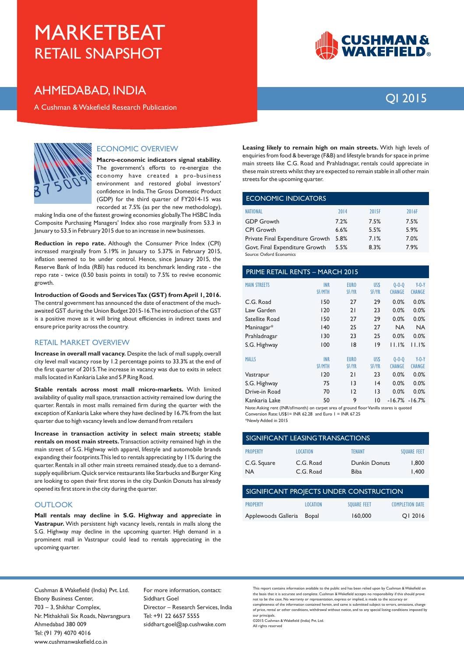### **AHMEDABAD, INDIA**

A Cushman & Wakefield Research Publication



## OI 2015



#### **ECONOMIC OVERVIEW**

Macro-economic indicators signal stability. The government's efforts to re-energize the economy have created a pro-business environment and restored global investors' confidence in India The Gross Domestic Product (GDP) for the third quarter of FY2014-15 was recorded at 7.5% (as per the new methodology),

making India one of the fastest growing economies globally. The HSBC India Composite Purchasing Managers' Index also rose marginally from 53.3 in January to 53.5 in February 2015 due to an increase in new businesses.

Reduction in repo rate. Although the Consumer Price Index (CPI) increased marginally from 5.19% in January to 5.37% in February 2015, inflation seemed to be under control. Hence, since January 2015, the Reserve Bank of India (RBI) has reduced its benchmark lending rate - the repo rate - twice (0.50 basis points in total) to 7.5% to revive economic growth.

Introduction of Goods and Services Tax (GST) from April 1, 2016. The central government has announced the date of enactment of the muchawaited GST during the Union Budget 2015-16. The introduction of the GST is a positive move as it will bring about efficiencies in indirect taxes and ensure price parity across the country.

#### **RETAIL MARKET OVERVIEW**

Increase in overall mall vacancy. Despite the lack of mall supply, overall city level mall vacancy rose by 1.2 percentage points to 33.3% at the end of the first quarter of 2015. The increase in vacancy was due to exits in select malls located in Kankaria Lake and S.P Ring Road.

Stable rentals across most mall micro-markets. With limited availability of quality mall space, transaction activity remained low during the quarter. Rentals in most malls remained firm during the quarter with the exception of Kankaria Lake where they have declined by 16.7% from the last quarter due to high vacancy levels and low demand from retailers

Increase in transaction activity in select main streets; stable rentals on most main streets. Transaction activity remained high in the main street of S.G. Highway with apparel, lifestyle and automobile brands expanding their footprints. This led to rentals appreciating by 11% during the quarter. Rentals in all other main streets remained steady, due to a demandsupply equilibrium. Quick service restaurants like Starbucks and Burger King are looking to open their first stores in the city. Dunkin Donuts has already opened its first store in the city during the quarter.

#### **OUTLOOK**

Mall rentals may decline in S.G. Highway and appreciate in Vastrapur. With persistent high vacancy levels, rentals in malls along the S.G. Highway may decline in the upcoming quarter. High demand in a prominent mall in Vastrapur could lead to rentals appreciating in the .<br>upcoming quarter.

Leasing likely to remain high on main streets. With high levels of enquiries from food & beverage (F&B) and lifestyle brands for space in prime main streets like C.G. Road and Prahladnagar, rentals could appreciate in these main streets whilst they are expected to remain stable in all other main streets for the upcoming quarter.

#### **ECONOMIC INDICATORS**

| <b>NATIONAL</b>                  | 2014 | 2015F | 2016F |
|----------------------------------|------|-------|-------|
| <b>GDP Growth</b>                | 7.2% | 7.5%  | 7.5%  |
| <b>CPI Growth</b>                | 6.6% | 5.5%  | 5.9%  |
| Private Final Expenditure Growth | 5.8% | 7.1%  | 7.0%  |
| Govt. Final Expenditure Growth   | 5.5% | 8.3%  | 7.9%  |
| Source: Oxford Economics         |      |       |       |

#### **PRIME RETAIL RENTS - MARCH 2015**

| <b>MAIN STREETS</b> | <b>INR</b><br><b>SF/MTH</b> | <b>EURO</b><br><b>SF/YR</b> | US\$<br><b>SF/YR</b> | $0 - 0 - 0$<br><b>CHANGE</b> | $Y-0-Y$<br><b>CHANGE</b> |
|---------------------|-----------------------------|-----------------------------|----------------------|------------------------------|--------------------------|
| C.G. Road           | 150                         | 27                          | 29                   | 0.0%                         | 0.0%                     |
| Law Garden          | 120                         | 21                          | 23                   | 0.0%                         | 0.0%                     |
| Satellite Road      | 150                         | 27                          | 29                   | 0.0%                         | 0.0%                     |
| Maninagar*          | 140                         | 25                          | 27                   | <b>NA</b>                    | <b>NA</b>                |
| Prahladnagar        | 130                         | 23                          | 25                   | 0.0%                         | 0.0%                     |
| S.G. Highway        | 100                         | 18                          | 9                    | 11.1%                        | 11.1%                    |
| <b>MALLS</b>        | <b>INR</b>                  | <b>EURO</b>                 | US\$                 | $0 - 0 - 0$                  | $Y-0-Y$                  |
|                     | <b>SF/MTH</b>               | <b>SF/YR</b>                | <b>SF/YR</b>         | <b>CHANGE</b>                | <b>CHANGE</b>            |
| Vastrapur           | 120                         | 21                          | 23                   | 0.0%                         | 0.0%                     |
| S.G. Highway        | 75                          | $\overline{13}$             | 4                    | 0.0%                         | 0.0%                     |
| Drive-in Road       | 70                          | 12                          | 13                   | 0.0%                         | 0.0%                     |
| Kankaria Lake       | 50                          | 9                           | 10                   |                              | $-16.7\% - 16.7\%$       |

Note: Asking rent (INR/sf/month) on carpet area of ground floor Vanilla stores is quoted Conversion Rate: US\$1 = INR 62.28 and Euro 1 = INR 67.25

\*Newly Added in 2015

| SIGNIFICANT LEASING TRANSACTIONS |                        |                                     |                    |  |  |  |
|----------------------------------|------------------------|-------------------------------------|--------------------|--|--|--|
| <b>PROPERTY</b>                  | <b>LOCATION</b>        | <b>TENANT</b>                       | <b>SOUARE FEET</b> |  |  |  |
| C.G. Square<br><b>NA</b>         | C.G. Road<br>C.G. Road | <b>Dunkin Donuts</b><br><b>Biba</b> | 1.800<br>1.400     |  |  |  |

| SIGNIFICANT PROJECTS UNDER CONSTRUCTION |                 |                    |                        |  |  |  |
|-----------------------------------------|-----------------|--------------------|------------------------|--|--|--|
| <b>PROPERTY</b>                         | <b>LOCATION</b> | <b>SOUARE FEET</b> | <b>COMPLETION DATE</b> |  |  |  |
| Applewoods Galleria                     | Bopal           | 160,000            | OI 2016                |  |  |  |

Cushman & Wakefield (India) Pvt. Ltd. Ebony Business Center, 703 - 3, Shikhar Complex, Nr. Mithakhali Six Roads, Navrangpura Ahmedabad 380 009 Tel: (91 79) 4070 4016 www.cushmanwakefield.co.in

For more information, contact: Siddhart Goel Director - Research Services, India Tel: +91 22 6657 5555 siddhart.goel@ap.cushwake.com

.<br>This report contains information available to the public and has been relied upon by Cushman & Wakefield on the basis that it is accurate and complete. Cushman & Wakefield accepts no responsibility if this should prove not to be the case. No warranty or representation, express or implied, is made to the accuracy or completeness of the information contained berein and same is submitted subject to errors omissions change of price, rental or other conditions, withdrawal without notice, and to any special listing conditions imposed by our principals.

02015 Cushman & Wakefield (India) Pvt. Ltd. All rights reserved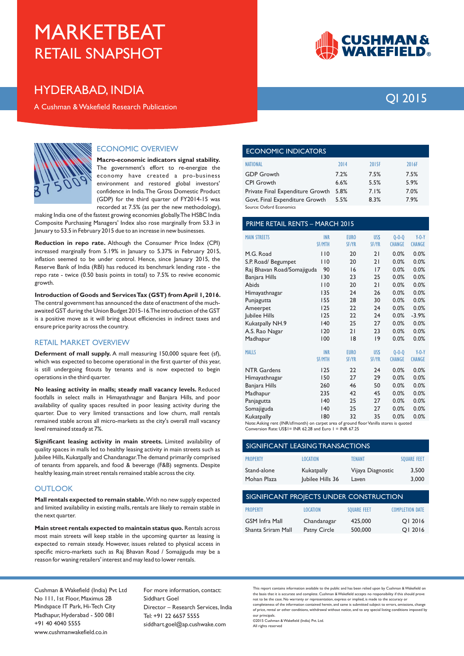### **HYDERABAD, INDIA**

A Cushman & Wakefield Research Publication



#### **ECONOMIC OVERVIEW**

Macro-economic indicators signal stability. The government's effort to re-energize the economy have created a pro-business environment and restored global investors' confidence in India. The Gross Domestic Product (GDP) for the third quarter of FY2014-15 was recorded at 7.5% (as per the new methodology),

making India one of the fastest growing economies globally. The HSBC India Composite Purchasing Managers' Index also rose marginally from 53.3 in January to 53.5 in February 2015 due to an increase in new businesses.

Reduction in repo rate. Although the Consumer Price Index (CPI) increased marginally from 5.19% in January to 5.37% in February 2015, inflation seemed to be under control. Hence, since January 2015, the Reserve Bank of India (RBI) has reduced its benchmark lending rate - the repo rate - twice (0.50 basis points in total) to 7.5% to revive economic growth.

Introduction of Goods and Services Tax (GST) from April 1, 2016. The central government has announced the date of enactment of the muchawaited GST during the Union Budget 2015-16. The introduction of the GST is a positive move as it will bring about efficiencies in indirect taxes and ensure price parity across the country.

#### **RETAIL MARKET OVERVIEW**

Deferment of mall supply. A mall measuring 150,000 square feet (sf), which was expected to become operational in the first quarter of this year, is still undergoing fitouts by tenants and is now expected to begin operations in the third quarter.

No leasing activity in malls; steady mall vacancy levels. Reduced footfalls in select malls in Himayathnagar and Banjara Hills, and poor availability of quality spaces resulted in poor leasing activity during the quarter. Due to very limited transactions and low churn, mall rentals remained stable across all micro-markets as the city's overall mall vacancy level remained steady at 7%.

Significant leasing activity in main streets. Limited availability of quality spaces in malls led to healthy leasing activity in main streets such as Jubilee Hills, Kukatpally and Chandanagar. The demand primarily comprised of tenants from apparels, and food & beverage (F&B) segments. Despite healthy leasing, main street rentals remained stable across the city.

#### OUTLOOK

Mall rentals expected to remain stable. With no new supply expected and limited availability in existing malls, rentals are likely to remain stable in the next quarter.

Main street rentals expected to maintain status quo. Rentals across most main streets will keep stable in the upcoming quarter as leasing is expected to remain steady. However, issues related to physical access in specific micro-markets such as Raj Bhavan Road / Somajiguda may be a reason for waning retailers' interest and may lead to lower rentals.



## OI 2015

| ECONOMIC INDICATORS              |      |       |       |  |
|----------------------------------|------|-------|-------|--|
| <b>NATIONAL</b>                  | 2014 | 2015F | 2016F |  |
| <b>GDP Growth</b>                | 7.2% | 7.5%  | 7.5%  |  |
| <b>CPI</b> Growth                | 6.6% | 5.5%  | 5.9%  |  |
| Private Final Expenditure Growth | 5.8% | 7.1%  | 7.0%  |  |
| Govt. Final Expenditure Growth   | 5.5% | 8.3%  | 7.9%  |  |
| Source: Oxford Economics         |      |       |       |  |

PRIME RETAIL RENTS - MARCH 2015

| <b>MAIN STREETS</b>        | <b>INR</b><br><b>SF/MTH</b> | <b>EURO</b><br><b>SF/YR</b> | US\$<br><b>SF/YR</b> | $0 - 0 - 0$<br><b>CHANGE</b> | $Y-0-Y$<br><b>CHANGE</b> |
|----------------------------|-----------------------------|-----------------------------|----------------------|------------------------------|--------------------------|
| M.G. Road                  | 110                         | 20                          | 21                   | 0.0%                         | 0.0%                     |
| S.P. Road/ Begumpet        | 110                         | 20                          | 21                   | 0.0%                         | 0.0%                     |
| Raj Bhavan Road/Somajiguda | 90                          | 16                          | 17                   | 0.0%                         | 0.0%                     |
| Banjara Hills              | 130                         | 23                          | 25                   | 0.0%                         | 0.0%                     |
| Abids                      | 110                         | 20                          | 21                   | 0.0%                         | 0.0%                     |
| Himayathnagar              | 135                         | 24                          | 26                   | 0.0%                         | 0.0%                     |
| Punjagutta                 | 155                         | 28                          | 30                   | 0.0%                         | 0.0%                     |
| Ameerpet                   | 125                         | 22                          | 24                   | 0.0%                         | 0.0%                     |
| Jubilee Hills              | 125                         | 22                          | 24                   | 0.0%                         | $-3.9%$                  |
| Kukatpally NH.9            | 140                         | 25                          | 27                   | 0.0%                         | 0.0%                     |
| A.S. Rao Nagar             | 120                         | 21                          | 23                   | 0.0%                         | 0.0%                     |
| Madhapur                   | 100                         | 18                          | 9                    | 0.0%                         | 0.0%                     |
|                            |                             |                             |                      |                              |                          |
| <b>MALLS</b>               | <b>INR</b>                  | <b>EURO</b>                 | US\$                 | $0 - 0 - 0$                  | $Y-0-Y$                  |
|                            | <b>SF/MTH</b>               | SF/YR                       | <b>SF/YR</b>         | <b>CHANGE</b>                | <b>CHANGE</b>            |
| <b>NTR Gardens</b>         | 125                         | 22                          | 24                   | 0.0%                         | 0.0%                     |
| Himayathnagar              | 150                         | 27                          | 29                   | 0.0%                         | 0.0%                     |
| Banjara Hills              | 260                         | 46                          | 50                   | 0.0%                         | 0.0%                     |
| Madhapur                   | 235                         | 42                          | 45                   | 0.0%                         | 0.0%                     |
| Panjagutta                 | 140                         | 25                          | 27                   | 0.0%                         | 0.0%                     |
| Somajiguda                 | 140                         | 25                          | 27                   | 0.0%                         | 0.0%                     |
| Kukatpally                 | 180                         | 32                          | 35                   | 0.0%                         | 0.0%                     |

Note: Asking rent (INR/sf/month) on carnet area of ground floor Vanilla stores is quoted Conversion Rate: US\$1= INR 62.28 and Euro 1 = INR 67.25

| <b>SIGNIFICANT LEASING TRANSACTIONS</b> |                                |                            |                    |  |
|-----------------------------------------|--------------------------------|----------------------------|--------------------|--|
| <b>PROPERTY</b>                         | <b>LOCATION</b>                | TFNANT                     | <b>SOUARE FEET</b> |  |
| Stand-alone<br>Mohan Plaza              | Kukatpally<br>Jubilee Hills 36 | Vijaya Diagnostic<br>Laven | 3.500<br>3,000     |  |

| SIGNIFICANT PROJECTS UNDER CONSTRUCTION |                 |                    |                        |  |
|-----------------------------------------|-----------------|--------------------|------------------------|--|
| <b>PROPERTY</b>                         | <b>LOCATION</b> | <b>SOUARE FEET</b> | <b>COMPLETION DATE</b> |  |
| <b>GSM Infra Mall</b>                   | Chandanagar     | 425,000            | OI 2016                |  |
| Shanta Sriram Mall                      | Patny Circle    | 500,000            | OI 2016                |  |

Cushman & Wakefield (India) Pvt Ltd No 111, 1st Floor, Maximus 2B Mindspace IT Park, Hi-Tech City Madhapur, Hyderabad - 500 081 +91 40 4040 5555 www.cushmanwakefield.co.in

For more information, contact: Siddhart Goel Director - Research Services, India Tel: +91 22 6657 5555 siddhart.goel@ap.cushwake.com

.<br>This report contains information available to the public and has been relied upon by Cushman & Wakefield on the basis that it is accurate and complete. Cushman & Wakefield accepts no responsibility if this should prove not to be the case. No warranty or representation, express or implied, is made to the accuracy or completeness of the information contained berein and same is submitted subject to errors omissions change of price, rental or other conditions, withdrawal without notice, and to any special listing conditions imposed by our principals.

0ar procepsor.<br>©2015 Cushman & Wakefield (India) Pvt. Ltd. All rights reserved